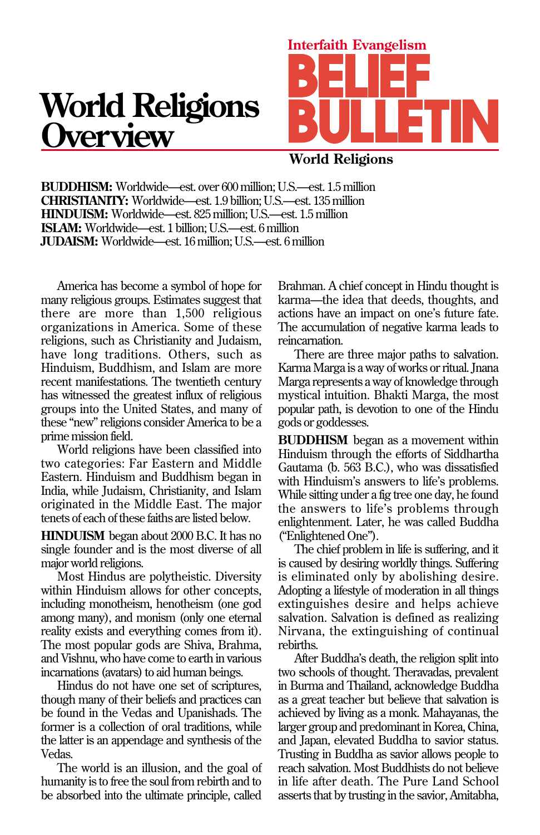## **World Religions Overview**



**World Religions**

**BUDDHISM:** Worldwide—est. over 600 million; U.S.—est. 1.5 million **CHRISTIANITY:** Worldwide—est. 1.9 billion; U.S.—est. 135 million **HINDUISM:** Worldwide—est. 825 million; U.S.—est. 1.5 million **ISLAM:** Worldwide—est. 1 billion; U.S.—est. 6 million **JUDAISM:** Worldwide—est. 16 million; U.S.—est. 6 million

America has become a symbol of hope for many religious groups. Estimates suggest that there are more than 1,500 religious organizations in America. Some of these religions, such as Christianity and Judaism, have long traditions. Others, such as Hinduism, Buddhism, and Islam are more recent manifestations. The twentieth century has witnessed the greatest influx of religious groups into the United States, and many of these "new" religions consider America to be a prime mission field.

World religions have been classified into two categories: Far Eastern and Middle Eastern. Hinduism and Buddhism began in India, while Judaism, Christianity, and Islam originated in the Middle East. The major tenets of each of these faiths are listed below.

**HINDUISM** began about 2000 B.C. It has no single founder and is the most diverse of all major world religions.

Most Hindus are polytheistic. Diversity within Hinduism allows for other concepts, including monotheism, henotheism (one god among many), and monism (only one eternal reality exists and everything comes from it). The most popular gods are Shiva, Brahma, and Vishnu, who have come to earth in various incarnations (avatars) to aid human beings.

Hindus do not have one set of scriptures, though many of their beliefs and practices can be found in the Vedas and Upanishads. The former is a collection of oral traditions, while the latter is an appendage and synthesis of the Vedas.

The world is an illusion, and the goal of humanity is to free the soul from rebirth and to be absorbed into the ultimate principle, called

Brahman. A chief concept in Hindu thought is karma—the idea that deeds, thoughts, and actions have an impact on one's future fate. The accumulation of negative karma leads to reincarnation.

There are three major paths to salvation. Karma Marga is a way of works or ritual. Jnana Marga represents a way of knowledge through mystical intuition. Bhakti Marga, the most popular path, is devotion to one of the Hindu gods or goddesses.

**BUDDHISM** began as a movement within Hinduism through the efforts of Siddhartha Gautama (b. 563 B.C.), who was dissatisfied with Hinduism's answers to life's problems. While sitting under a fig tree one day, he found the answers to life's problems through enlightenment. Later, he was called Buddha ("Enlightened One").

The chief problem in life is suffering, and it is caused by desiring worldly things. Suffering is eliminated only by abolishing desire. Adopting a lifestyle of moderation in all things extinguishes desire and helps achieve salvation. Salvation is defined as realizing Nirvana, the extinguishing of continual rebirths.

After Buddha's death, the religion split into two schools of thought. Theravadas, prevalent in Burma and Thailand, acknowledge Buddha as a great teacher but believe that salvation is achieved by living as a monk. Mahayanas, the larger group and predominant in Korea, China, and Japan, elevated Buddha to savior status. Trusting in Buddha as savior allows people to reach salvation. Most Buddhists do not believe in life after death. The Pure Land School asserts that by trusting in the savior, Amitabha,